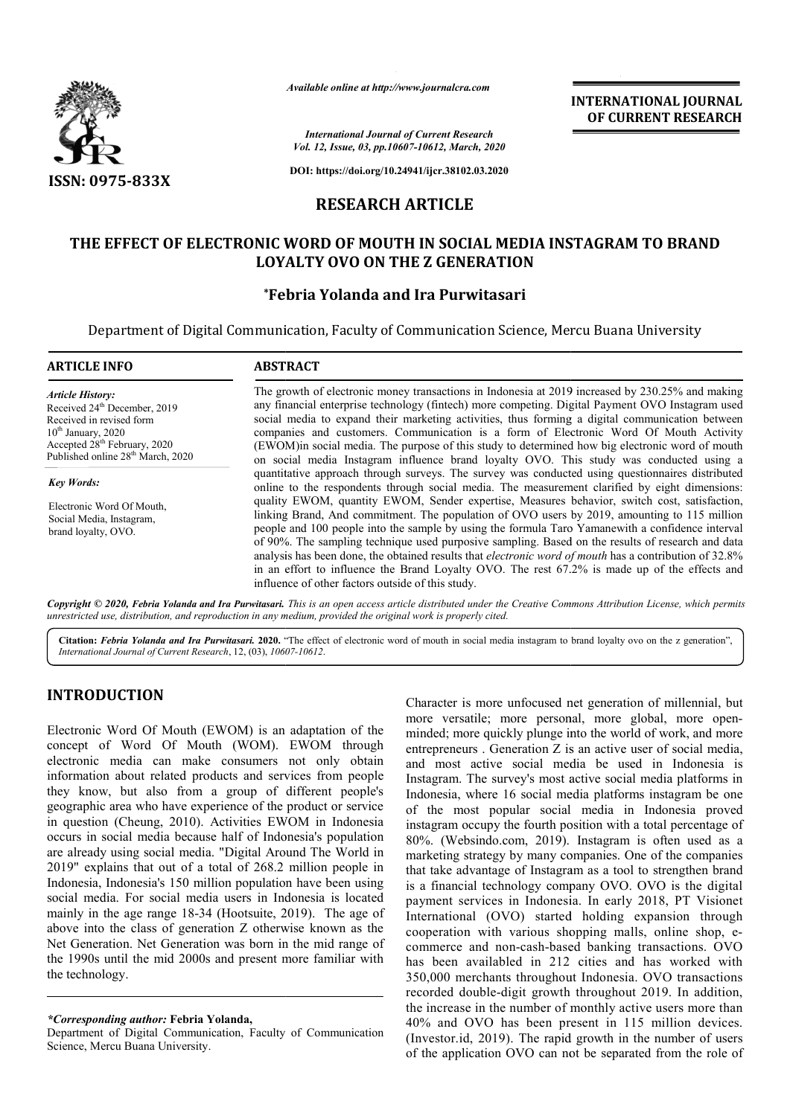

*Available online at http://www.journalcra.com*

**INTERNATIONAL JOURNAL OF CURRENT RESEARCH**

*International Journal of Current Research Vol. 12, Issue, 03, pp.10607-10612, March, 2020*

**DOI: https://doi.org/10.24941/ijcr.38102.03.2020**

## **RESEARCH ARTICLE**

## **THE EFFECT OF ELECTRONIC WORD OF MOUTH IN SOCIAL MEDIA INSTAGRAM TO BRAND SOCIAL MEDIA LOYALTY OVO ON THE Z GENERATION**

# **\*Febria Yolanda and Ira Purwitasari Febria**

Department of Digital Communication, Faculty of Communication Science, Mercu Buana University Science, Mercu

| <b>ARTICLE INFO</b>                                                                                                                                                                                                  | <b>ABSTRACT</b>                                                                                                                                                                                                                                                                                                                                                                                                                                                                                                                                                                                                                                                              |  |  |  |  |
|----------------------------------------------------------------------------------------------------------------------------------------------------------------------------------------------------------------------|------------------------------------------------------------------------------------------------------------------------------------------------------------------------------------------------------------------------------------------------------------------------------------------------------------------------------------------------------------------------------------------------------------------------------------------------------------------------------------------------------------------------------------------------------------------------------------------------------------------------------------------------------------------------------|--|--|--|--|
| <b>Article History:</b><br>Received 24 <sup>th</sup> December, 2019<br>Received in revised form<br>$10th$ January, 2020<br>Accepted 28 <sup>th</sup> February, 2020<br>Published online 28 <sup>th</sup> March, 2020 | The growth of electronic money transactions in Indonesia at 2019 increased by 230.25% and making<br>any financial enterprise technology (fintech) more competing. Digital Payment OVO Instagram used<br>social media to expand their marketing activities, thus forming a digital communication between<br>companies and customers. Communication is a form of Electronic Word Of Mouth Activity<br>(EWOM) in social media. The purpose of this study to determined how big electronic word of mouth<br>on social media Instagram influence brand loyalty OVO. This study was conducted using a                                                                              |  |  |  |  |
| <b>Key Words:</b>                                                                                                                                                                                                    | quantitative approach through surveys. The survey was conducted using questionnaires distributed                                                                                                                                                                                                                                                                                                                                                                                                                                                                                                                                                                             |  |  |  |  |
| Electronic Word Of Mouth.<br>Social Media, Instagram,<br>brand loyalty, OVO.                                                                                                                                         | online to the respondents through social media. The measurement clarified by eight dimensions:                                                                                                                                                                                                                                                                                                                                                                                                                                                                                                                                                                               |  |  |  |  |
|                                                                                                                                                                                                                      | quality EWOM, quantity EWOM, Sender expertise, Measures behavior, switch cost, satisfaction,<br>linking Brand, And commitment. The population of OVO users by 2019, amounting to 115 million<br>people and 100 people into the sample by using the formula Taro Yamanewith a confidence interval<br>of 90%. The sampling technique used purposive sampling. Based on the results of research and data<br>analysis has been done, the obtained results that <i>electronic word of mouth</i> has a contribution of 32.8%<br>in an effort to influence the Brand Loyalty OVO. The rest 67.2% is made up of the effects and<br>influence of other factors outside of this study. |  |  |  |  |

Copyright © 2020, Febria Yolanda and Ira Purwitasari. This is an open access article distributed under the Creative Commons Attribution License, which permits *unrestricted use, distribution, and reproduction in any medium, provided the original work is properly cited.*

Citation: Febria Yolanda and Ira Purwitasari. 2020. "The effect of electronic word of mouth in social media instagram to brand loyalty ovo on the z generation", *International Journal of Current Research*, 12, (03), *10607 10607-10612*.

# **INTRODUCTION**

Electronic Word Of Mouth (EWOM) is an adaptation of the concept of Word Of Mouth (WOM). EWOM through electronic media can make consumers not only obtain information about related products and services from people they know, but also from a group of different people's geographic area who have experience of the product or service in question (Cheung, 2010). Activities EWOM in Indonesia occurs in social media because half of Indonesia's population are already using social media. "Digital Around The World in 2019" explains that out of a total of 268.2 million people in Indonesia, Indonesia's 150 million population have been using social media. For social media users in Indonesia is located mainly in the age range 18-34 (Hootsuite, 2019). The age of above into the class of generation Z otherwise known as the Net Generation. Net Generation was born in the mid range of the 1990s until the mid 2000s and present more familiar with the technology. tion have been using<br>Indonesia is located<br> $x$ , 2019). The age of

Character is more unfocused net generation of the matter is more unfocused net generation of millennial, but<br>more versuite; more personal, more generation of more than the millennial of the millennial, but<br>pure personal, m Character is more unfocused net generation of millennial, but<br>more versatile; more personal, more global, more openminded; more quickly plunge into the world of work, and more entrepreneurs . Generation  $\overline{Z}$  is an active user of social media, and most active social media be used in Indonesia is Instagram. The survey's most active social media platforms in Indonesia, where 16 social media platforms instagram be one of the most popular social media in Indonesia proved instagram occupy the fourth position with a total percentage of 80%. (Websindo.com, 2019). Instagram is often used as a marketing strategy by many companies. One of the companies that take advantage of Instagram as a tool to strengthen brand is a financial technology company OVO. OVO is the digital payment services in Indonesia. In early 2018, PT Visionet International (OVO) started holding expansion through cooperation with various shopping malls, online s commerce and non-cash-based banking transactions. OVO has been availabled in 212 cities and has worked with 350,000 merchants throughout Indonesia. OVO transactions recorded double-digit growth throughout 2019. In addition, the increase in the number of monthly active users more than 40% and OVO has been present in 115 million devices. (Investor.id, 2019). The rapid growth in the number of users of the application OVO can not be separated from the role of trepreneurs . Generation Z is an active user of social media,<br>d most active social media be used in Indonesia is<br>stagram. The survey's most active social media platforms in<br>donesia, where 16 social media platforms instagra payment services in Indonesia. In early 2018, PT Visionet<br>International (OVO) started holding expansion through<br>cooperation with various shopping malls, online shop, e-**EXERCTS (THE ANTIFION ALL FOURNMET ANTIFION ALL OF CURRENT RESEARCH CHARGES 36.16 (The CURRENT RESEARCH CHARGES 36.26 (THE ANTIFIC ASSEEM) AND SCILL AND SCILL AND SCILL AND SCILL AND SCILL AND SCILL AND SCILL AND SCILL A** 

*<sup>\*</sup>Corresponding author:* **Febria Yolanda,**

Department of Digital Communication, Faculty of Communication Science, Mercu Buana University.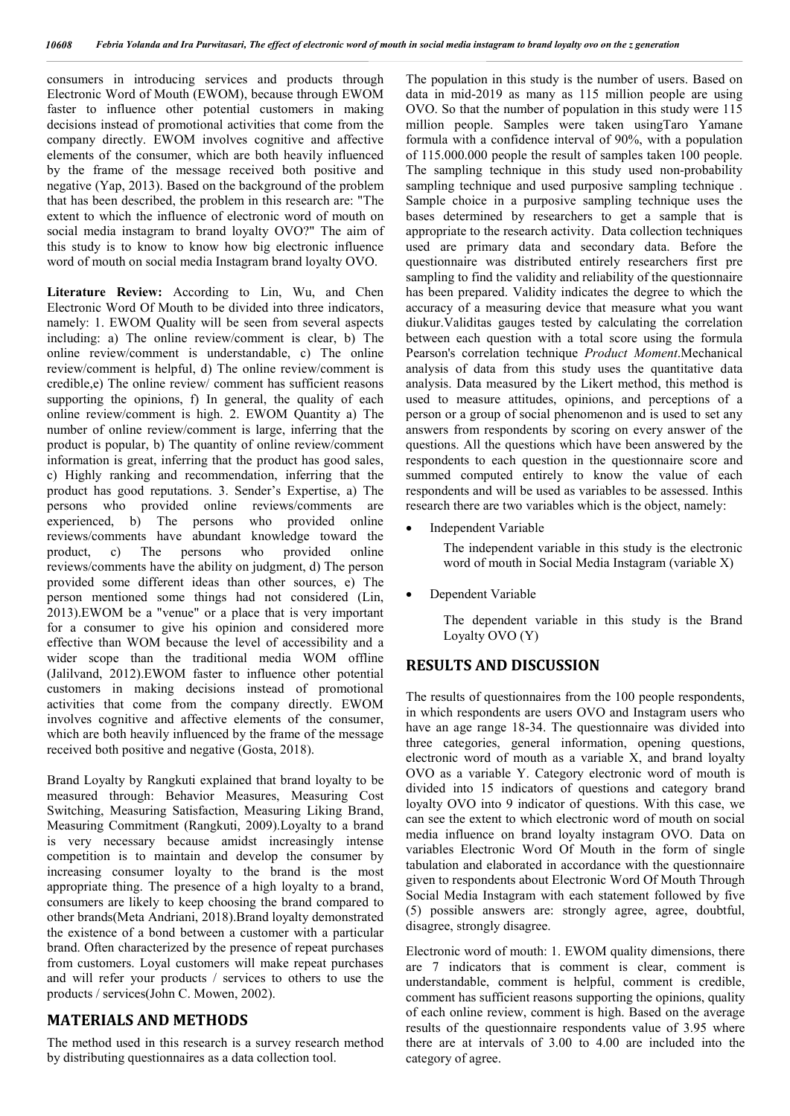consumers in introducing services and products through Electronic Word of Mouth (EWOM), because through EWOM faster to influence other potential customers in making decisions instead of promotional activities that come from the company directly. EWOM involves cognitive and affective elements of the consumer, which are both heavily influenced by the frame of the message received both positive and negative (Yap, 2013). Based on the background of the problem that has been described, the problem in this research are: "The extent to which the influence of electronic word of mouth on social media instagram to brand loyalty OVO?" The aim of this study is to know to know how big electronic influence word of mouth on social media Instagram brand loyalty OVO.

**Literature Review:** According to Lin, Wu, and Chen Electronic Word Of Mouth to be divided into three indicators, namely: 1. EWOM Quality will be seen from several aspects including: a) The online review/comment is clear, b) The online review/comment is understandable, c) The online review/comment is helpful, d) The online review/comment is credible,e) The online review/ comment has sufficient reasons supporting the opinions, f) In general, the quality of each online review/comment is high. 2. EWOM Quantity a) The number of online review/comment is large, inferring that the product is popular, b) The quantity of online review/comment information is great, inferring that the product has good sales, c) Highly ranking and recommendation, inferring that the product has good reputations. 3. Sender's Expertise, a) The persons who provided online reviews/comments are experienced, b) The persons who provided online reviews/comments have abundant knowledge toward the product, c) The persons who provided online c) The persons who provided online reviews/comments have the ability on judgment, d) The person provided some different ideas than other sources, e) The person mentioned some things had not considered (Lin, 2013).EWOM be a "venue" or a place that is very important for a consumer to give his opinion and considered more effective than WOM because the level of accessibility and a wider scope than the traditional media WOM offline (Jalilvand, 2012).EWOM faster to influence other potential customers in making decisions instead of promotional activities that come from the company directly. EWOM involves cognitive and affective elements of the consumer, which are both heavily influenced by the frame of the message received both positive and negative (Gosta, 2018).

Brand Loyalty by Rangkuti explained that brand loyalty to be measured through: Behavior Measures, Measuring Cost Switching, Measuring Satisfaction, Measuring Liking Brand, Measuring Commitment (Rangkuti, 2009).Loyalty to a brand is very necessary because amidst increasingly intense competition is to maintain and develop the consumer by increasing consumer loyalty to the brand is the most appropriate thing. The presence of a high loyalty to a brand, consumers are likely to keep choosing the brand compared to other brands(Meta Andriani, 2018).Brand loyalty demonstrated the existence of a bond between a customer with a particular brand. Often characterized by the presence of repeat purchases from customers. Loyal customers will make repeat purchases and will refer your products / services to others to use the products / services(John C. Mowen, 2002).

## **MATERIALS AND METHODS**

The method used in this research is a survey research method by distributing questionnaires as a data collection tool.

The population in this study is the number of users. Based on data in mid-2019 as many as 115 million people are using OVO. So that the number of population in this study were 115 million people. Samples were taken usingTaro Yamane formula with a confidence interval of 90%, with a population of 115.000.000 people the result of samples taken 100 people. The sampling technique in this study used non-probability sampling technique and used purposive sampling technique. Sample choice in a purposive sampling technique uses the bases determined by researchers to get a sample that is appropriate to the research activity. Data collection techniques used are primary data and secondary data. Before the questionnaire was distributed entirely researchers first pre sampling to find the validity and reliability of the questionnaire has been prepared. Validity indicates the degree to which the accuracy of a measuring device that measure what you want diukur.Validitas gauges tested by calculating the correlation between each question with a total score using the formula Pearson's correlation technique *Product Moment*.Mechanical analysis of data from this study uses the quantitative data analysis. Data measured by the Likert method, this method is used to measure attitudes, opinions, and perceptions of a person or a group of social phenomenon and is used to set any answers from respondents by scoring on every answer of the questions. All the questions which have been answered by the respondents to each question in the questionnaire score and summed computed entirely to know the value of each respondents and will be used as variables to be assessed. Inthis research there are two variables which is the object, namely:

Independent Variable

The independent variable in this study is the electronic word of mouth in Social Media Instagram (variable X)

Dependent Variable

The dependent variable in this study is the Brand Loyalty OVO (Y)

## **RESULTS AND DISCUSSION**

The results of questionnaires from the 100 people respondents, in which respondents are users OVO and Instagram users who have an age range 18-34. The questionnaire was divided into three categories, general information, opening questions, electronic word of mouth as a variable X, and brand loyalty OVO as a variable Y. Category electronic word of mouth is divided into 15 indicators of questions and category brand loyalty OVO into 9 indicator of questions. With this case, we can see the extent to which electronic word of mouth on social media influence on brand loyalty instagram OVO. Data on variables Electronic Word Of Mouth in the form of single tabulation and elaborated in accordance with the questionnaire given to respondents about Electronic Word Of Mouth Through Social Media Instagram with each statement followed by five (5) possible answers are: strongly agree, agree, doubtful, disagree, strongly disagree.

Electronic word of mouth: 1. EWOM quality dimensions, there are 7 indicators that is comment is clear, comment is understandable, comment is helpful, comment is credible, comment has sufficient reasons supporting the opinions, quality of each online review, comment is high. Based on the average results of the questionnaire respondents value of 3.95 where there are at intervals of 3.00 to 4.00 are included into the category of agree.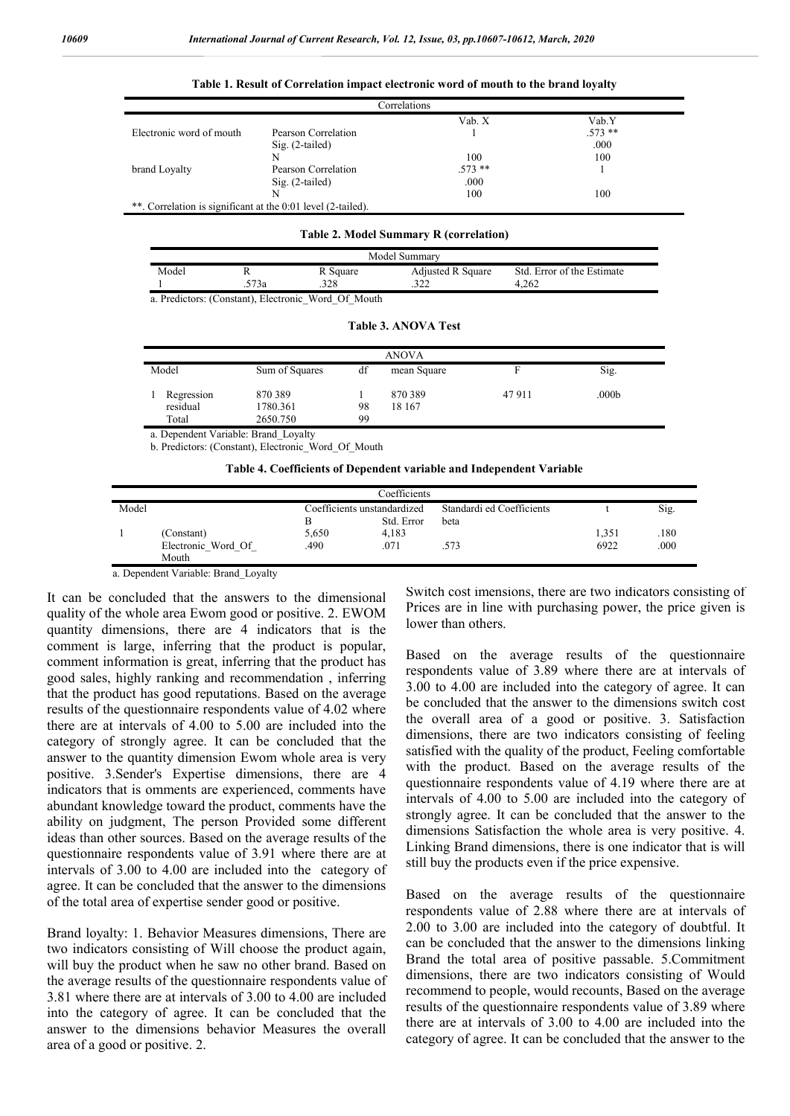| Correlations                                                 |                     |          |          |  |  |
|--------------------------------------------------------------|---------------------|----------|----------|--|--|
|                                                              |                     | Vab. X   | Vab.Y    |  |  |
| Electronic word of mouth                                     | Pearson Correlation |          | $.573**$ |  |  |
|                                                              | $Sig. (2-tailed)$   |          | .000     |  |  |
|                                                              | N                   | 100      | 100      |  |  |
| brand Loyalty                                                | Pearson Correlation | $.573**$ |          |  |  |
|                                                              | $Sig. (2-tailed)$   | .000     |          |  |  |
|                                                              | N                   | 100      | 100      |  |  |
| **. Correlation is significant at the 0:01 level (2-tailed). |                     |          |          |  |  |

#### **Table 1. Result of Correlation impact electronic word of mouth to the brand loyalty**

#### **Table 2. Model Summary R (correlation)**

| Model Summary |                 |                                                   |                          |                            |  |  |
|---------------|-----------------|---------------------------------------------------|--------------------------|----------------------------|--|--|
| Model         |                 | R Square                                          | <b>Adjusted R Square</b> | Std. Error of the Estimate |  |  |
|               | <sup>-73a</sup> | วาจ                                               | 377                      | 1.262                      |  |  |
|               |                 | a Prodictors: (Constant) Floatronia Word Of Mouth |                          |                            |  |  |

**Table 3. ANOVA Test**

a. Predictors: (Constant), Electronic\_Word\_Of\_Mouth

| <b>ANOVA</b>                         |                                |          |                  |       |                   |
|--------------------------------------|--------------------------------|----------|------------------|-------|-------------------|
| Model                                | Sum of Squares                 | df       | mean Square      | F     | Sig.              |
| Regression<br>residual<br>Total      | 870389<br>1780.361<br>2650.750 | 98<br>99 | 870389<br>18 167 | 47911 | .000 <sub>b</sub> |
| a. Dependent Variable: Brand Loyalty |                                |          |                  |       |                   |

b. Predictors: (Constant), Electronic\_Word\_Of\_Mouth

**Table 4. Coefficients of Dependent variable and Independent Variable**

| Coefficients |                    |                             |            |                           |       |      |  |
|--------------|--------------------|-----------------------------|------------|---------------------------|-------|------|--|
| Model        |                    | Coefficients unstandardized |            | Standardi ed Coefficients |       | Sig. |  |
|              |                    |                             | Std. Error | beta                      |       |      |  |
|              | (Constant)         | 5,650                       | 4,183      |                           | 1,351 | .180 |  |
|              | Electronic Word Of | 490                         | .071       | .573                      | 6922  | .000 |  |
|              | Mouth              |                             |            |                           |       |      |  |

a. Dependent Variable: Brand\_Loyalty

It can be concluded that the answers to the dimensional quality of the whole area Ewom good or positive. 2. EWOM quantity dimensions, there are 4 indicators that is the comment is large, inferring that the product is popular, comment information is great, inferring that the product has good sales, highly ranking and recommendation , inferring that the product has good reputations. Based on the average results of the questionnaire respondents value of 4.02 where there are at intervals of 4.00 to 5.00 are included into the category of strongly agree. It can be concluded that the answer to the quantity dimension Ewom whole area is very positive. 3.Sender's Expertise dimensions, there are 4 indicators that is omments are experienced, comments have abundant knowledge toward the product, comments have the ability on judgment, The person Provided some different ideas than other sources. Based on the average results of the questionnaire respondents value of 3.91 where there are at intervals of 3.00 to 4.00 are included into the category of agree. It can be concluded that the answer to the dimensions of the total area of expertise sender good or positive.

Brand loyalty: 1. Behavior Measures dimensions, There are two indicators consisting of Will choose the product again, will buy the product when he saw no other brand. Based on the average results of the questionnaire respondents value of 3.81 where there are at intervals of 3.00 to 4.00 are included into the category of agree. It can be concluded that the answer to the dimensions behavior Measures the overall area of a good or positive. 2.

Switch cost imensions, there are two indicators consisting of Prices are in line with purchasing power, the price given is lower than others.

Based on the average results of the questionnaire respondents value of 3.89 where there are at intervals of 3.00 to 4.00 are included into the category of agree. It can be concluded that the answer to the dimensions switch cost the overall area of a good or positive. 3. Satisfaction dimensions, there are two indicators consisting of feeling satisfied with the quality of the product, Feeling comfortable with the product. Based on the average results of the questionnaire respondents value of 4.19 where there are at intervals of 4.00 to 5.00 are included into the category of strongly agree. It can be concluded that the answer to the dimensions Satisfaction the whole area is very positive. 4. Linking Brand dimensions, there is one indicator that is will still buy the products even if the price expensive.

Based on the average results of the questionnaire respondents value of 2.88 where there are at intervals of 2.00 to 3.00 are included into the category of doubtful. It can be concluded that the answer to the dimensions linking Brand the total area of positive passable. 5.Commitment dimensions, there are two indicators consisting of Would recommend to people, would recounts, Based on the average results of the questionnaire respondents value of 3.89 where there are at intervals of 3.00 to 4.00 are included into the category of agree. It can be concluded that the answer to the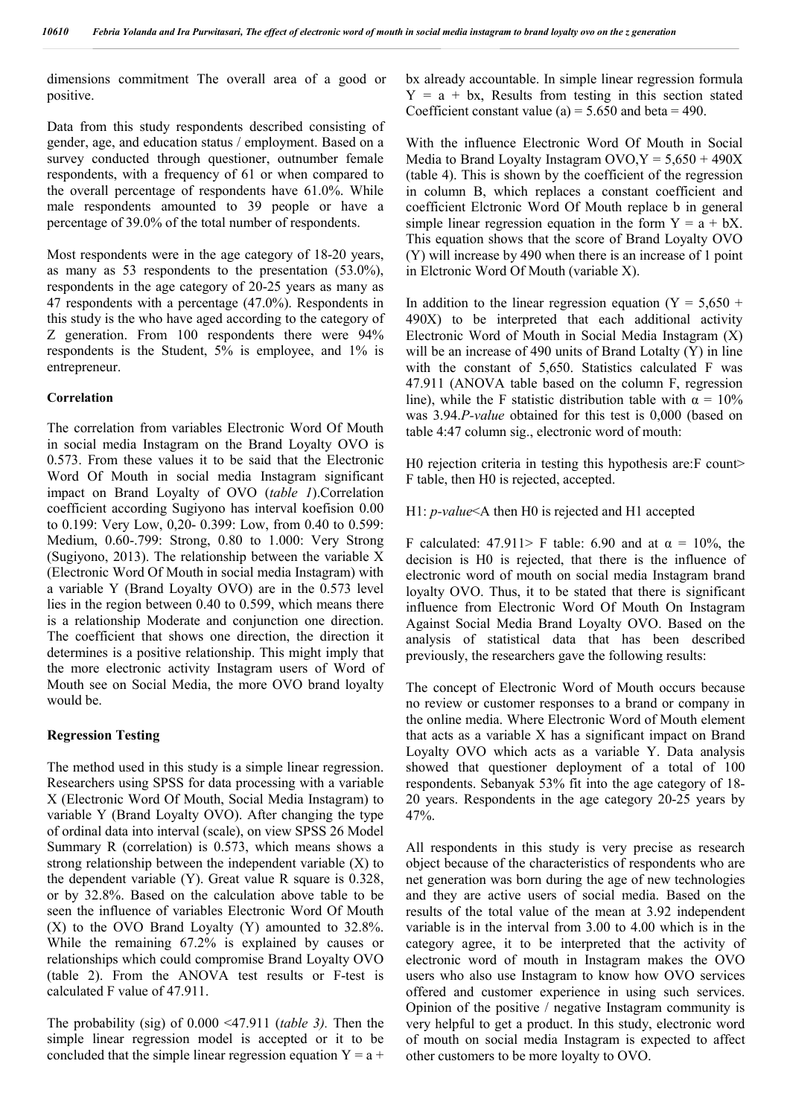dimensions commitment The overall area of a good or positive.

Data from this study respondents described consisting of gender, age, and education status / employment. Based on a survey conducted through questioner, outnumber female respondents, with a frequency of 61 or when compared to the overall percentage of respondents have 61.0%. While male respondents amounted to 39 people or have a percentage of 39.0% of the total number of respondents.

Most respondents were in the age category of 18-20 years, as many as 53 respondents to the presentation (53.0%), respondents in the age category of 20-25 years as many as 47 respondents with a percentage (47.0%). Respondents in this study is the who have aged according to the category of Z generation. From 100 respondents there were 94% respondents is the Student, 5% is employee, and 1% is entrepreneur.

### **Correlation**

The correlation from variables Electronic Word Of Mouth in social media Instagram on the Brand Loyalty OVO is 0.573. From these values it to be said that the Electronic Word Of Mouth in social media Instagram significant impact on Brand Loyalty of OVO (*table 1*).Correlation coefficient according Sugiyono has interval koefision 0.00 to 0.199: Very Low, 0,20- 0.399: Low, from 0.40 to 0.599: Medium, 0.60-.799: Strong, 0.80 to 1.000: Very Strong (Sugiyono, 2013). The relationship between the variable X (Electronic Word Of Mouth in social media Instagram) with a variable Y (Brand Loyalty OVO) are in the 0.573 level lies in the region between 0.40 to 0.599, which means there is a relationship Moderate and conjunction one direction. The coefficient that shows one direction, the direction it determines is a positive relationship. This might imply that the more electronic activity Instagram users of Word of Mouth see on Social Media, the more OVO brand loyalty would be.

### **Regression Testing**

The method used in this study is a simple linear regression. Researchers using SPSS for data processing with a variable X (Electronic Word Of Mouth, Social Media Instagram) to variable Y (Brand Loyalty OVO). After changing the type of ordinal data into interval (scale), on view SPSS 26 Model Summary R (correlation) is 0.573, which means shows a strong relationship between the independent variable (X) to the dependent variable (Y). Great value R square is 0.328, or by 32.8%. Based on the calculation above table to be seen the influence of variables Electronic Word Of Mouth (X) to the OVO Brand Loyalty (Y) amounted to 32.8%. While the remaining 67.2% is explained by causes or relationships which could compromise Brand Loyalty OVO (table 2). From the ANOVA test results or F-test is calculated F value of 47.911.

The probability (sig) of 0.000 <47.911 (*table 3).* Then the simple linear regression model is accepted or it to be concluded that the simple linear regression equation  $Y = a +$ 

bx already accountable. In simple linear regression formula  $Y = a + bx$ , Results from testing in this section stated Coefficient constant value (a) =  $5.650$  and beta = 490.

With the influence Electronic Word Of Mouth in Social Media to Brand Loyalty Instagram  $OVO, Y = 5,650 + 490X$ (table 4). This is shown by the coefficient of the regression in column B, which replaces a constant coefficient and coefficient Elctronic Word Of Mouth replace b in general simple linear regression equation in the form  $Y = a + bX$ . This equation shows that the score of Brand Loyalty OVO (Y) will increase by 490 when there is an increase of 1 point in Elctronic Word Of Mouth (variable X).

In addition to the linear regression equation ( $Y = 5,650 +$ 490X) to be interpreted that each additional activity Electronic Word of Mouth in Social Media Instagram (X) will be an increase of 490 units of Brand Lotalty (Y) in line with the constant of 5,650. Statistics calculated F was 47.911 (ANOVA table based on the column F, regression line), while the F statistic distribution table with  $\alpha = 10\%$ was 3.94.*P-value* obtained for this test is 0,000 (based on table 4:47 column sig., electronic word of mouth:

H0 rejection criteria in testing this hypothesis are: F count> F table, then H0 is rejected, accepted.

H1: *p-value*<Α then H0 is rejected and H1 accepted

F calculated: 47.911> F table: 6.90 and at  $\alpha = 10\%$ , the decision is H0 is rejected, that there is the influence of electronic word of mouth on social media Instagram brand loyalty OVO. Thus, it to be stated that there is significant influence from Electronic Word Of Mouth On Instagram Against Social Media Brand Loyalty OVO. Based on the analysis of statistical data that has been described previously, the researchers gave the following results:

The concept of Electronic Word of Mouth occurs because no review or customer responses to a brand or company in the online media. Where Electronic Word of Mouth element that acts as a variable X has a significant impact on Brand Loyalty OVO which acts as a variable Y. Data analysis showed that questioner deployment of a total of 100 respondents. Sebanyak 53% fit into the age category of 18- 20 years. Respondents in the age category 20-25 years by 47%.

All respondents in this study is very precise as research object because of the characteristics of respondents who are net generation was born during the age of new technologies and they are active users of social media. Based on the results of the total value of the mean at 3.92 independent variable is in the interval from 3.00 to 4.00 which is in the category agree, it to be interpreted that the activity of electronic word of mouth in Instagram makes the OVO users who also use Instagram to know how OVO services offered and customer experience in using such services. Opinion of the positive / negative Instagram community is very helpful to get a product. In this study, electronic word of mouth on social media Instagram is expected to affect other customers to be more loyalty to OVO.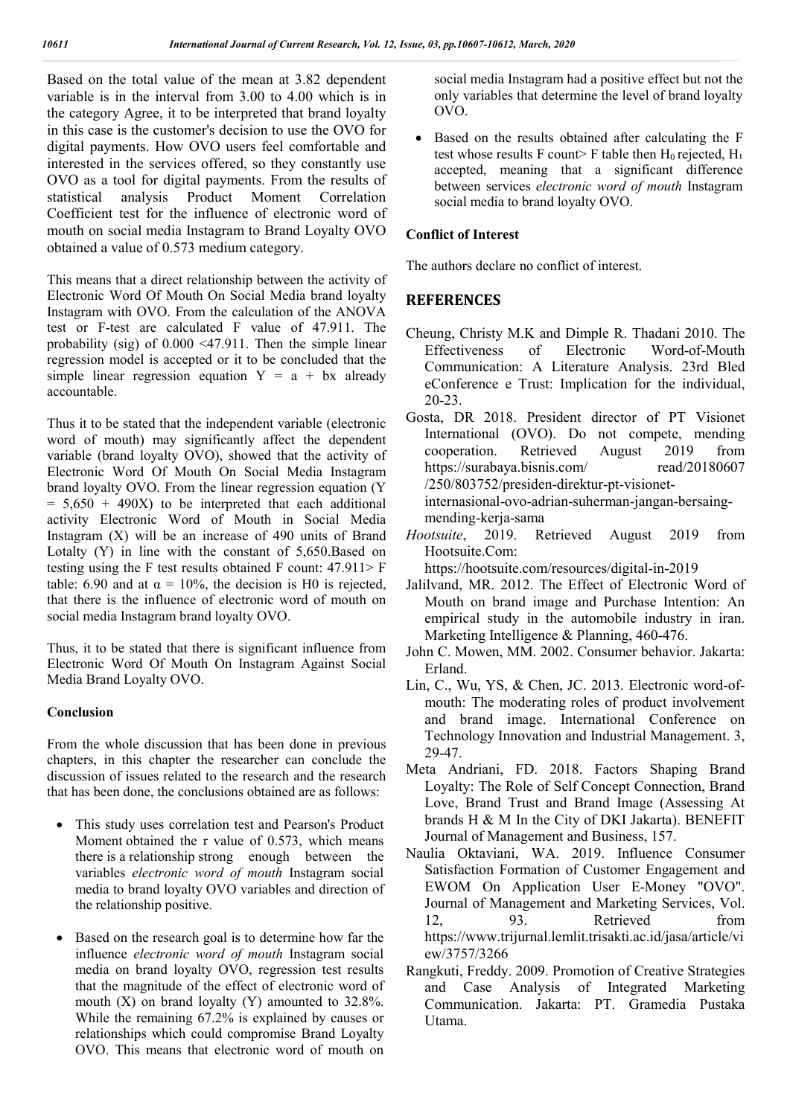Based on the total value of the mean at 3.82 dependent variable is in the interval from 3.00 to 4.00 which is in the category Agree, it to be interpreted that brand loyalty in this case is the customer's decision to use the OVO for digital payments. How OVO users feel comfortable and interested in the services offered, so they constantly use OVO as a tool for digital payments. From the results of statistical analysis Product Moment Correlation Coefficient test for the influence of electronic word of mouth on social media Instagram to Brand Loyalty OVO obtained a value of 0.573 medium category.

This means that a direct relationship between the activity of Electronic Word Of Mouth On Social Media brand loyalty Instagram with OVO. From the calculation of the ANOVA test or F-test are calculated F value of 47.911. The probability (sig) of 0.000 <47.911. Then the simple linear regression model is accepted or it to be concluded that the simple linear regression equation  $Y = a + bx$  already accountable.

Thus it to be stated that the independent variable (electronic word of mouth) may significantly affect the dependent variable (brand loyalty OVO), showed that the activity of Electronic Word Of Mouth On Social Media Instagram brand loyalty OVO. From the linear regression equation (Y  $= 5,650 + 490X$  to be interpreted that each additional activity Electronic Word of Mouth in Social Media Instagram (X) will be an increase of 490 units of Brand Lotalty (Y) in line with the constant of 5,650.Based on testing using the F test results obtained F count: 47.911> F table: 6.90 and at  $\alpha = 10\%$ , the decision is H0 is rejected, that there is the influence of electronic word of mouth on social media Instagram brand loyalty OVO.

Thus, it to be stated that there is significant influence from Electronic Word Of Mouth On Instagram Against Social Media Brand Loyalty OVO.

### **Conclusion**

From the whole discussion that has been done in previous chapters, in this chapter the researcher can conclude the discussion of issues related to the research and the research that has been done, the conclusions obtained are as follows:

- This study uses correlation test and Pearson's Product Moment obtained the r value of 0.573, which means there is a relationship strong enough between the variables *electronic word of mouth* Instagram social media to brand loyalty OVO variables and direction of the relationship positive.
- Based on the research goal is to determine how far the influence *electronic word of mouth* Instagram social media on brand loyalty OVO, regression test results that the magnitude of the effect of electronic word of mouth  $(X)$  on brand loyalty  $(Y)$  amounted to 32.8%. While the remaining 67.2% is explained by causes or relationships which could compromise Brand Loyalty OVO. This means that electronic word of mouth on

social media Instagram had a positive effect but not the only variables that determine the level of brand loyalty OVO.

• Based on the results obtained after calculating the F test whose results F count> F table then  $H_0$  rejected,  $H_1$ accepted, meaning that a significant difference between services *electronic word of mouth* Instagram social media to brand loyalty OVO.

### **Conflict of Interest**

The authors declare no conflict of interest.

### **REFERENCES**

- Cheung, Christy M.K and Dimple R. Thadani 2010. The Effectiveness of Electronic Word-of-Mouth Communication: A Literature Analysis. 23rd Bled eConference e Trust: Implication for the individual, 20-23.
- Gosta, DR 2018. President director of PT Visionet International (OVO). Do not compete, mending cooperation. Retrieved August 2019 from https://surabaya.bisnis.com/ read/20180607 /250/803752/presiden-direktur-pt-visionetinternasional-ovo-adrian-suherman-jangan-bersaing-

mending-kerja-sama

*Hootsuite*, 2019. Retrieved August 2019 from Hootsuite.Com:

https://hootsuite.com/resources/digital-in-2019

- Jalilvand, MR. 2012. The Effect of Electronic Word of Mouth on brand image and Purchase Intention: An empirical study in the automobile industry in iran. Marketing Intelligence & Planning, 460-476.
- John C. Mowen, MM. 2002. Consumer behavior. Jakarta: Erland.
- Lin, C., Wu, YS, & Chen, JC. 2013. Electronic word-ofmouth: The moderating roles of product involvement and brand image. International Conference on Technology Innovation and Industrial Management. 3, 29-47.
- Meta Andriani, FD. 2018. Factors Shaping Brand Loyalty: The Role of Self Concept Connection, Brand Love, Brand Trust and Brand Image (Assessing At brands H & M In the City of DKI Jakarta). BENEFIT Journal of Management and Business, 157.
- Naulia Oktaviani, WA. 2019. Influence Consumer Satisfaction Formation of Customer Engagement and EWOM On Application User E-Money "OVO". Journal of Management and Marketing Services, Vol. 12, 93. Retrieved from https://www.trijurnal.lemlit.trisakti.ac.id/jasa/article/vi ew/3757/3266
- Rangkuti, Freddy. 2009. Promotion of Creative Strategies and Case Analysis of Integrated Marketing Communication. Jakarta: PT. Gramedia Pustaka Utama.